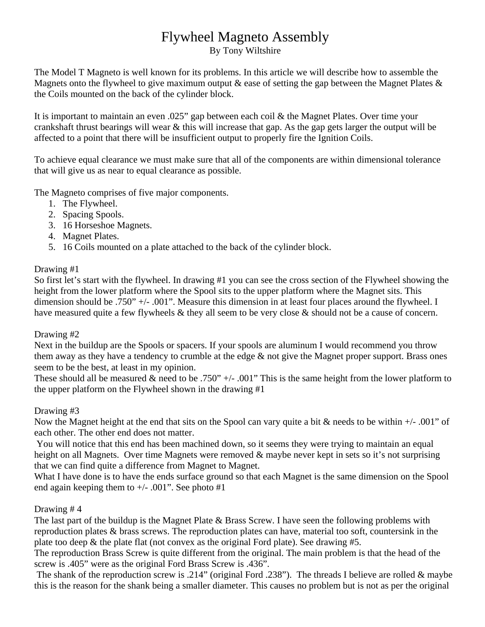# Flywheel Magneto Assembly

By Tony Wiltshire

The Model T Magneto is well known for its problems. In this article we will describe how to assemble the Magnets onto the flywheel to give maximum output  $\&$  ease of setting the gap between the Magnet Plates  $\&$ the Coils mounted on the back of the cylinder block.

It is important to maintain an even .025" gap between each coil & the Magnet Plates. Over time your crankshaft thrust bearings will wear & this will increase that gap. As the gap gets larger the output will be affected to a point that there will be insufficient output to properly fire the Ignition Coils.

To achieve equal clearance we must make sure that all of the components are within dimensional tolerance that will give us as near to equal clearance as possible.

The Magneto comprises of five major components.

- 1. The Flywheel.
- 2. Spacing Spools.
- 3. 16 Horseshoe Magnets.
- 4. Magnet Plates.
- 5. 16 Coils mounted on a plate attached to the back of the cylinder block.

### Drawing #1

So first let's start with the flywheel. In drawing #1 you can see the cross section of the Flywheel showing the height from the lower platform where the Spool sits to the upper platform where the Magnet sits. This dimension should be .750" +/- .001". Measure this dimension in at least four places around the flywheel. I have measured quite a few flywheels & they all seem to be very close & should not be a cause of concern.

#### Drawing #2

Next in the buildup are the Spools or spacers. If your spools are aluminum I would recommend you throw them away as they have a tendency to crumble at the edge  $\&$  not give the Magnet proper support. Brass ones seem to be the best, at least in my opinion.

These should all be measured & need to be .750" +/- .001" This is the same height from the lower platform to the upper platform on the Flywheel shown in the drawing #1

#### Drawing #3

Now the Magnet height at the end that sits on the Spool can vary quite a bit & needs to be within +/- .001" of each other. The other end does not matter.

 You will notice that this end has been machined down, so it seems they were trying to maintain an equal height on all Magnets. Over time Magnets were removed & maybe never kept in sets so it's not surprising that we can find quite a difference from Magnet to Magnet.

What I have done is to have the ends surface ground so that each Magnet is the same dimension on the Spool end again keeping them to  $+/-$  .001". See photo #1

## Drawing # 4

The last part of the buildup is the Magnet Plate & Brass Screw. I have seen the following problems with reproduction plates & brass screws. The reproduction plates can have, material too soft, countersink in the plate too deep & the plate flat (not convex as the original Ford plate). See drawing #5.

The reproduction Brass Screw is quite different from the original. The main problem is that the head of the screw is .405" were as the original Ford Brass Screw is .436".

 The shank of the reproduction screw is .214" (original Ford .238"). The threads I believe are rolled & maybe this is the reason for the shank being a smaller diameter. This causes no problem but is not as per the original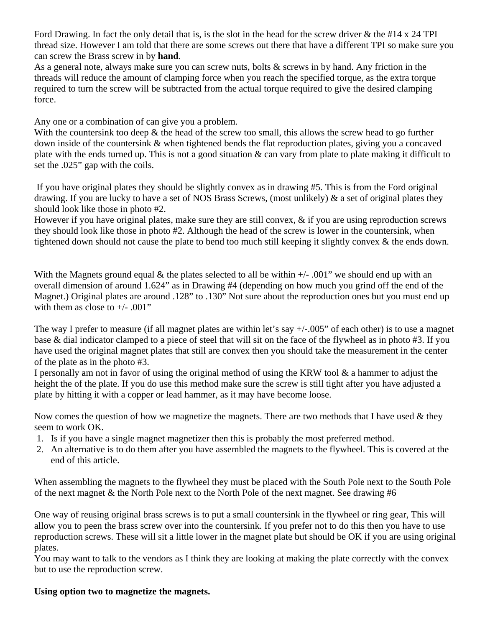Ford Drawing. In fact the only detail that is, is the slot in the head for the screw driver & the #14 x 24 TPI thread size. However I am told that there are some screws out there that have a different TPI so make sure you can screw the Brass screw in by **hand**.

As a general note, always make sure you can screw nuts, bolts & screws in by hand. Any friction in the threads will reduce the amount of clamping force when you reach the specified torque, as the extra torque required to turn the screw will be subtracted from the actual torque required to give the desired clamping force.

Any one or a combination of can give you a problem.

With the countersink too deep & the head of the screw too small, this allows the screw head to go further down inside of the countersink & when tightened bends the flat reproduction plates, giving you a concaved plate with the ends turned up. This is not a good situation & can vary from plate to plate making it difficult to set the .025" gap with the coils.

 If you have original plates they should be slightly convex as in drawing #5. This is from the Ford original drawing. If you are lucky to have a set of NOS Brass Screws, (most unlikely) & a set of original plates they should look like those in photo #2.

However if you have original plates, make sure they are still convex, & if you are using reproduction screws they should look like those in photo #2. Although the head of the screw is lower in the countersink, when tightened down should not cause the plate to bend too much still keeping it slightly convex & the ends down.

With the Magnets ground equal  $\&$  the plates selected to all be within  $+/-$  .001" we should end up with an overall dimension of around 1.624" as in Drawing #4 (depending on how much you grind off the end of the Magnet.) Original plates are around .128" to .130" Not sure about the reproduction ones but you must end up with them as close to  $+/- .001"$ 

The way I prefer to measure (if all magnet plates are within let's say  $+/-005$ " of each other) is to use a magnet base & dial indicator clamped to a piece of steel that will sit on the face of the flywheel as in photo #3. If you have used the original magnet plates that still are convex then you should take the measurement in the center of the plate as in the photo #3.

I personally am not in favor of using the original method of using the KRW tool & a hammer to adjust the height the of the plate. If you do use this method make sure the screw is still tight after you have adjusted a plate by hitting it with a copper or lead hammer, as it may have become loose.

Now comes the question of how we magnetize the magnets. There are two methods that I have used  $\&$  they seem to work OK.

- 1. Is if you have a single magnet magnetizer then this is probably the most preferred method.
- 2. An alternative is to do them after you have assembled the magnets to the flywheel. This is covered at the end of this article.

When assembling the magnets to the flywheel they must be placed with the South Pole next to the South Pole of the next magnet & the North Pole next to the North Pole of the next magnet. See drawing #6

One way of reusing original brass screws is to put a small countersink in the flywheel or ring gear, This will allow you to peen the brass screw over into the countersink. If you prefer not to do this then you have to use reproduction screws. These will sit a little lower in the magnet plate but should be OK if you are using original plates.

You may want to talk to the vendors as I think they are looking at making the plate correctly with the convex but to use the reproduction screw.

#### **Using option two to magnetize the magnets.**